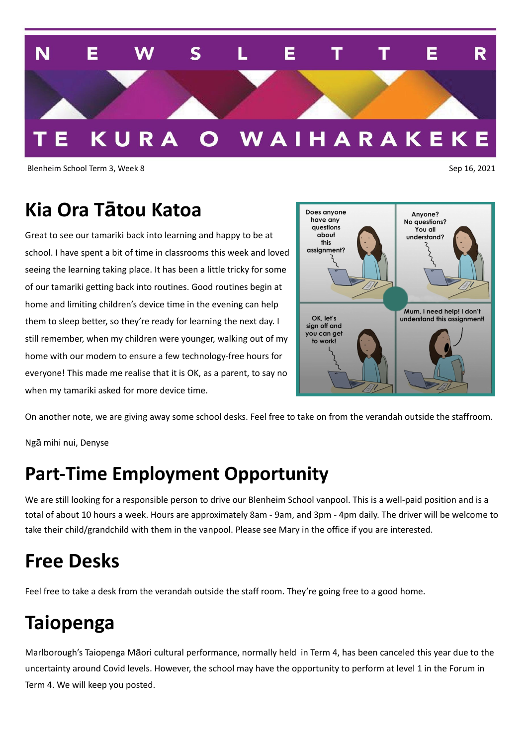

Blenheim School Term 3, Week 8 Sep 16, 2021

## **Kia Ora Tātou Katoa**

Great to see our tamariki back into learning and happy to be at school. I have spent a bit of time in classrooms this week and loved seeing the learning taking place. It has been a little tricky for some of our tamariki getting back into routines. Good routines begin at home and limiting children's device time in the evening can help them to sleep better, so they're ready for learning the next day. I still remember, when my children were younger, walking out of my home with our modem to ensure a few technology-free hours for everyone! This made me realise that it is OK, as a parent, to say no when my tamariki asked for more device time.



On another note, we are giving away some school desks. Feel free to take on from the verandah outside the staffroom.

Ngā mihi nui, Denyse

## **Part-Time Employment Opportunity**

We are still looking for a responsible person to drive our Blenheim School vanpool. This is a well-paid position and is a total of about 10 hours a week. Hours are approximately 8am - 9am, and 3pm - 4pm daily. The driver will be welcome to take their child/grandchild with them in the vanpool. Please see Mary in the office if you are interested.

## **Free Desks**

Feel free to take a desk from the verandah outside the staff room. They're going free to a good home.

## **Taiopenga**

Marlborough's Taiopenga Māori cultural performance, normally held in Term 4, has been canceled this year due to the uncertainty around Covid levels. However, the school may have the opportunity to perform at level 1 in the Forum in Term 4. We will keep you posted.